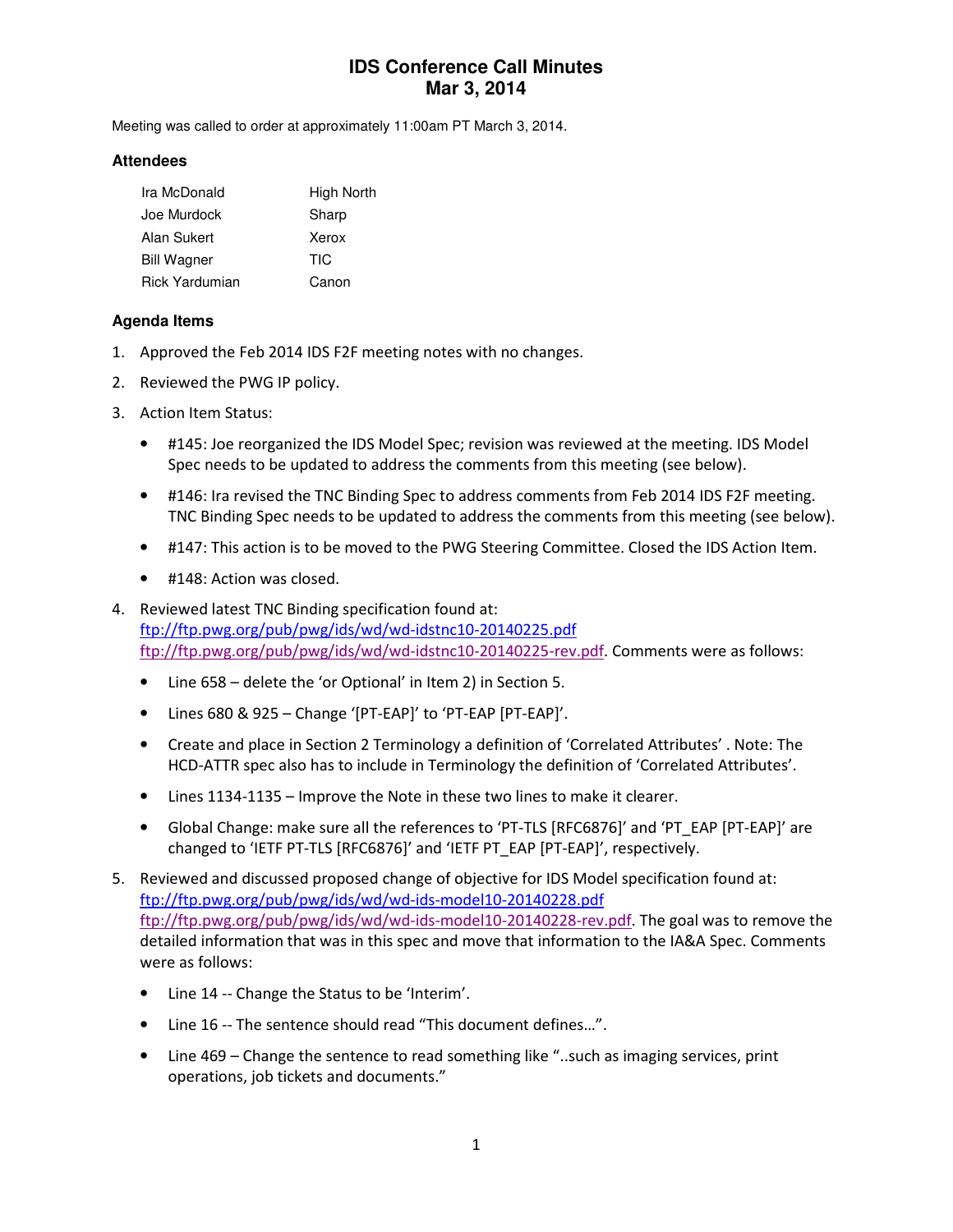# **IDS Conference Call Minutes Mar 3, 2014**

Meeting was called to order at approximately 11:00am PT March 3, 2014.

#### **Attendees**

| Ira McDonald          | High North |
|-----------------------|------------|
| Joe Murdock           | Sharp      |
| Alan Sukert           | Xerox      |
| <b>Bill Wagner</b>    | TIC        |
| <b>Rick Yardumian</b> | Canon      |

### **Agenda Items**

- 1. Approved the Feb 2014 IDS F2F meeting notes with no changes.
- 2. Reviewed the PWG IP policy.
- 3. Action Item Status:
	- #145: Joe reorganized the IDS Model Spec; revision was reviewed at the meeting. IDS Model Spec needs to be updated to address the comments from this meeting (see below).
	- #146: Ira revised the TNC Binding Spec to address comments from Feb 2014 IDS F2F meeting. TNC Binding Spec needs to be updated to address the comments from this meeting (see below).
	- #147: This action is to be moved to the PWG Steering Committee. Closed the IDS Action Item.
	- #148: Action was closed.
- 4. Reviewed latest TNC Binding specification found at: ftp://ftp.pwg.org/pub/pwg/ids/wd/wd-idstnc10-20140225.pdf ftp://ftp.pwg.org/pub/pwg/ids/wd/wd-idstnc10-20140225-rev.pdf. Comments were as follows:
	- Line 658 delete the 'or Optional' in Item 2) in Section 5.
	- Lines 680 & 925 Change '[PT-EAP]' to 'PT-EAP [PT-EAP]'.
	- Create and place in Section 2 Terminology a definition of 'Correlated Attributes' . Note: The HCD-ATTR spec also has to include in Terminology the definition of 'Correlated Attributes'.
	- Lines 1134-1135 Improve the Note in these two lines to make it clearer.
	- Global Change: make sure all the references to 'PT-TLS [RFC6876]' and 'PT\_EAP [PT-EAP]' are changed to 'IETF PT-TLS [RFC6876]' and 'IETF PT\_EAP [PT-EAP]', respectively.
- 5. Reviewed and discussed proposed change of objective for IDS Model specification found at: ftp://ftp.pwg.org/pub/pwg/ids/wd/wd-ids-model10-20140228.pdf ftp://ftp.pwg.org/pub/pwg/ids/wd/wd-ids-model10-20140228-rev.pdf. The goal was to remove the detailed information that was in this spec and move that information to the IA&A Spec. Comments were as follows:
	- Line 14 -- Change the Status to be 'Interim'.
	- Line 16 -- The sentence should read "This document defines…".
	- Line 469 Change the sentence to read something like "..such as imaging services, print operations, job tickets and documents."